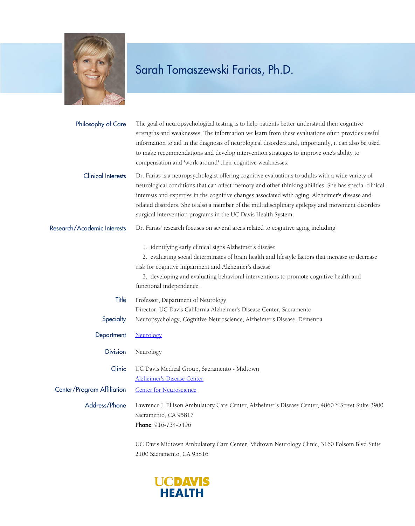

| Philosophy of Care          | The goal of neuropsychological testing is to help patients better understand their cognitive<br>strengths and weaknesses. The information we learn from these evaluations often provides useful<br>information to aid in the diagnosis of neurological disorders and, importantly, it can also be used<br>to make recommendations and develop intervention strategies to improve one's ability to<br>compensation and 'work around' their cognitive weaknesses.                    |
|-----------------------------|------------------------------------------------------------------------------------------------------------------------------------------------------------------------------------------------------------------------------------------------------------------------------------------------------------------------------------------------------------------------------------------------------------------------------------------------------------------------------------|
| <b>Clinical Interests</b>   | Dr. Farias is a neuropsychologist offering cognitive evaluations to adults with a wide variety of<br>neurological conditions that can affect memory and other thinking abilities. She has special clinical<br>interests and expertise in the cognitive changes associated with aging, Alzheimer's disease and<br>related disorders. She is also a member of the multidisciplinary epilepsy and movement disorders<br>surgical intervention programs in the UC Davis Health System. |
| Research/Academic Interests | Dr. Farias' research focuses on several areas related to cognitive aging including:                                                                                                                                                                                                                                                                                                                                                                                                |
|                             | 1. identifying early clinical signs Alzheimer's disease<br>2. evaluating social determinates of brain health and lifestyle factors that increase or decrease<br>risk for cognitive impairment and Alzheimer's disease<br>3. developing and evaluating behavioral interventions to promote cognitive health and<br>functional independence.                                                                                                                                         |
| Title<br>Specialty          | Professor, Department of Neurology<br>Director, UC Davis California Alzheimer's Disease Center, Sacramento<br>Neuropsychology, Cognitive Neuroscience, Alzheimer's Disease, Dementia                                                                                                                                                                                                                                                                                               |
| Department                  | Neurology                                                                                                                                                                                                                                                                                                                                                                                                                                                                          |
| <b>Division</b>             | Neurology                                                                                                                                                                                                                                                                                                                                                                                                                                                                          |
| Clinic                      | UC Davis Medical Group, Sacramento - Midtown<br><b>Alzheimer's Disease Center</b>                                                                                                                                                                                                                                                                                                                                                                                                  |
| Center/Program Affiliation  | <b>Center for Neuroscience</b>                                                                                                                                                                                                                                                                                                                                                                                                                                                     |
| Address/Phone               | Lawrence J. Ellison Ambulatory Care Center, Alzheimer's Disease Center, 4860 Y Street Suite 3900<br>Sacramento, CA 95817<br>Phone: 916-734-5496                                                                                                                                                                                                                                                                                                                                    |
|                             | UC Davis Midtown Ambulatory Care Center, Midtown Neurology Clinic, 3160 Folsom Blvd Suite                                                                                                                                                                                                                                                                                                                                                                                          |

2100 Sacramento, CA 95816

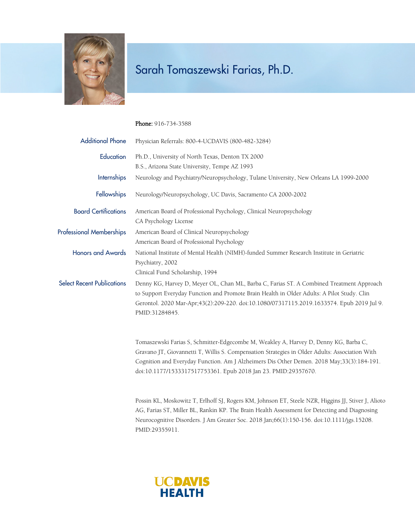

#### Phone: 916-734-3588

| <b>Additional Phone</b>           | Physician Referrals: 800-4-UCDAVIS (800-482-3284)                                                                                                                                                                                                                                                                                                     |
|-----------------------------------|-------------------------------------------------------------------------------------------------------------------------------------------------------------------------------------------------------------------------------------------------------------------------------------------------------------------------------------------------------|
| Education                         | Ph.D., University of North Texas, Denton TX 2000                                                                                                                                                                                                                                                                                                      |
|                                   | B.S., Arizona State University, Tempe AZ 1993                                                                                                                                                                                                                                                                                                         |
| Internships                       | Neurology and Psychiatry/Neuropsychology, Tulane University, New Orleans LA 1999-2000                                                                                                                                                                                                                                                                 |
| Fellowships                       | Neurology/Neuropsychology, UC Davis, Sacramento CA 2000-2002                                                                                                                                                                                                                                                                                          |
| <b>Board Certifications</b>       | American Board of Professional Psychology, Clinical Neuropsychology<br>CA Psychology License                                                                                                                                                                                                                                                          |
| <b>Professional Memberships</b>   | American Board of Clinical Neuropsychology<br>American Board of Professional Psychology                                                                                                                                                                                                                                                               |
| <b>Honors and Awards</b>          | National Institute of Mental Health (NIMH)-funded Summer Research Institute in Geriatric<br>Psychiatry, 2002<br>Clinical Fund Scholarship, 1994                                                                                                                                                                                                       |
| <b>Select Recent Publications</b> | Denny KG, Harvey D, Meyer OL, Chan ML, Barba C, Farias ST. A Combined Treatment Approach<br>to Support Everyday Function and Promote Brain Health in Older Adults: A Pilot Study. Clin<br>Gerontol. 2020 Mar-Apr;43(2):209-220. doi:10.1080/07317115.2019.1633574. Epub 2019 Jul 9.<br>PMID:31284845.                                                 |
|                                   | Tomaszewski Farias S, Schmitter-Edgecombe M, Weakley A, Harvey D, Denny KG, Barba C,<br>Gravano JT, Giovannetti T, Willis S. Compensation Strategies in Older Adults: Association With<br>Cognition and Everyday Function. Am J Alzheimers Dis Other Demen. 2018 May;33(3):184-191.<br>doi:10.1177/1533317517753361. Epub 2018 Jan 23. PMID:29357670. |
|                                   | Possin KL, Moskowitz T, Erlhoff SJ, Rogers KM, Johnson ET, Steele NZR, Higgins JJ, Stiver J, Alioto<br>AG, Farias ST, Miller BL, Rankin KP. The Brain Health Assessment for Detecting and Diagnosing                                                                                                                                                  |

Neurocognitive Disorders. J Am Greater Soc. 2018 Jan;66(1):150-156. doi:10.1111/jgs.15208.



PMID:29355911.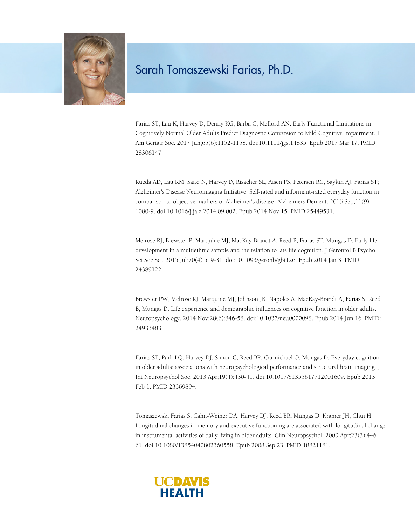

Farias ST, Lau K, Harvey D, Denny KG, Barba C, Mefford AN. Early Functional Limitations in Cognitively Normal Older Adults Predict Diagnostic Conversion to Mild Cognitive Impairment. J Am Geriatr Soc. 2017 Jun;65(6):1152-1158. doi:10.1111/jgs.14835. Epub 2017 Mar 17. PMID: 28306147.

Rueda AD, Lau KM, Saito N, Harvey D, Risacher SL, Aisen PS, Petersen RC, Saykin AJ, Farias ST; Alzheimer's Disease Neuroimaging Initiative. Self-rated and informant-rated everyday function in comparison to objective markers of Alzheimer's disease. Alzheimers Dement. 2015 Sep;11(9): 1080-9. doi:10.1016/j.jalz.2014.09.002. Epub 2014 Nov 15. PMID:25449531.

Melrose RJ, Brewster P, Marquine MJ, MacKay-Brandt A, Reed B, Farias ST, Mungas D. Early life development in a multiethnic sample and the relation to late life cognition. J Gerontol B Psychol Sci Soc Sci. 2015 Jul;70(4):519-31. doi:10.1093/geronb/gbt126. Epub 2014 Jan 3. PMID: 24389122.

Brewster PW, Melrose RJ, Marquine MJ, Johnson JK, Napoles A, MacKay-Brandt A, Farias S, Reed B, Mungas D. Life experience and demographic influences on cognitive function in older adults. Neuropsychology. 2014 Nov;28(6):846-58. doi:10.1037/neu0000098. Epub 2014 Jun 16. PMID: 24933483.

Farias ST, Park LQ, Harvey DJ, Simon C, Reed BR, Carmichael O, Mungas D. Everyday cognition in older adults: associations with neuropsychological performance and structural brain imaging. J Int Neuropsychol Soc. 2013 Apr;19(4):430-41. doi:10.1017/S1355617712001609. Epub 2013 Feb 1. PMID:23369894.

Tomaszewski Farias S, Cahn-Weiner DA, Harvey DJ, Reed BR, Mungas D, Kramer JH, Chui H. Longitudinal changes in memory and executive functioning are associated with longitudinal change in instrumental activities of daily living in older adults. Clin Neuropsychol. 2009 Apr;23(3):446- 61. doi:10.1080/13854040802360558. Epub 2008 Sep 23. PMID:18821181.